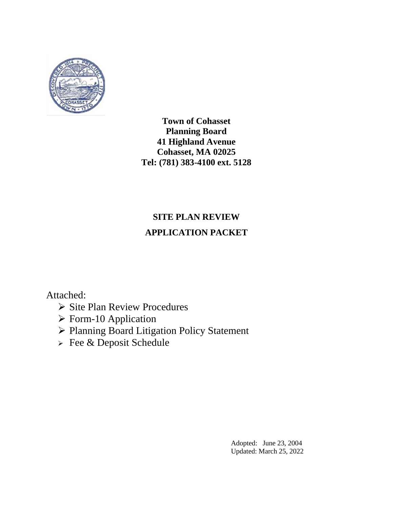

# **SITE PLAN REVIEW APPLICATION PACKET**

Attached:

- ➢ Site Plan Review Procedures
- ➢ Form-10 Application
- ➢ Planning Board Litigation Policy Statement
- ➢ Fee & Deposit Schedule

Adopted: June 23, 2004 Updated: March 25, 2022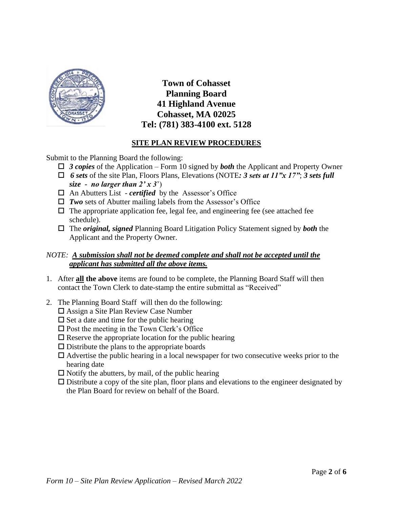

## **SITE PLAN REVIEW PROCEDURES**

Submit to the Planning Board the following:

- *3 copies* of the Application Form 10 signed by *both* the Applicant and Property Owner
- *6 sets* of the site Plan, Floors Plans, Elevations (NOTE*: 3 sets at 11"x 17"*; *3 sets full size - no larger than*  $2' \times 3'$
- An Abutters List *certified* by the Assessor's Office
- *Two* sets of Abutter mailing labels from the Assessor's Office
- $\Box$  The appropriate application fee, legal fee, and engineering fee (see attached fee schedule).
- The *original, signed* Planning Board Litigation Policy Statement signed by *both* the Applicant and the Property Owner.

### *NOTE: A submission shall not be deemed complete and shall not be accepted until the applicant has submitted all the above items.*

- 1. After **all the above** items are found to be complete, the Planning Board Staff will then contact the Town Clerk to date-stamp the entire submittal as "Received"
- 2. The Planning Board Staff will then do the following:
	- Assign a Site Plan Review Case Number
	- $\square$  Set a date and time for the public hearing
	- $\square$  Post the meeting in the Town Clerk's Office
	- $\square$  Reserve the appropriate location for the public hearing
	- $\square$  Distribute the plans to the appropriate boards
	- $\Box$  Advertise the public hearing in a local newspaper for two consecutive weeks prior to the hearing date
	- $\square$  Notify the abutters, by mail, of the public hearing
	- $\Box$  Distribute a copy of the site plan, floor plans and elevations to the engineer designated by the Plan Board for review on behalf of the Board.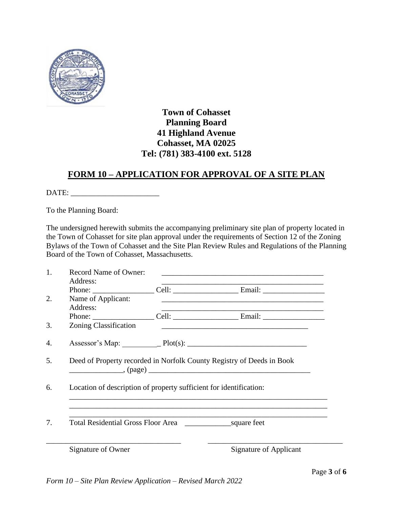

# **FORM 10 – APPLICATION FOR APPROVAL OF A SITE PLAN**

DATE: \_\_\_\_\_\_\_\_\_\_\_\_\_\_\_\_\_\_\_\_\_\_\_

To the Planning Board:

The undersigned herewith submits the accompanying preliminary site plan of property located in the Town of Cohasset for site plan approval under the requirements of Section 12 of the Zoning Bylaws of the Town of Cohasset and the Site Plan Review Rules and Regulations of the Planning Board of the Town of Cohasset, Massachusetts.

| 1. | Record Name of Owner:<br>Address:                                               |  | <u> 1989 - Johann Stoff, amerikansk politiker (d. 1989)</u>                                                      |
|----|---------------------------------------------------------------------------------|--|------------------------------------------------------------------------------------------------------------------|
|    |                                                                                 |  |                                                                                                                  |
| 2. | Name of Applicant:<br>Address:                                                  |  | and the control of the control of the control of the control of the control of the control of the control of the |
|    |                                                                                 |  |                                                                                                                  |
| 3. | <b>Zoning Classification</b>                                                    |  |                                                                                                                  |
| 4. |                                                                                 |  |                                                                                                                  |
| 5. | Deed of Property recorded in Norfolk County Registry of Deeds in Book<br>(page) |  |                                                                                                                  |
| 6. | Location of description of property sufficient for identification:              |  |                                                                                                                  |
|    |                                                                                 |  |                                                                                                                  |
| 7. |                                                                                 |  |                                                                                                                  |
|    | Signature of Owner                                                              |  | <b>Signature of Applicant</b>                                                                                    |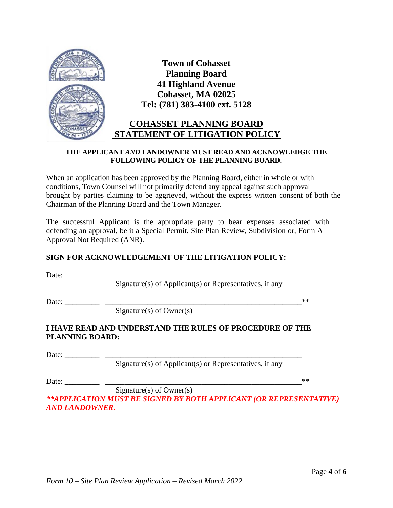

### **THE APPLICANT** *AND* **LANDOWNER MUST READ AND ACKNOWLEDGE THE FOLLOWING POLICY OF THE PLANNING BOARD.**

When an application has been approved by the Planning Board, either in whole or with conditions, Town Counsel will not primarily defend any appeal against such approval brought by parties claiming to be aggrieved, without the express written consent of both the Chairman of the Planning Board and the Town Manager.

The successful Applicant is the appropriate party to bear expenses associated with defending an approval, be it a Special Permit, Site Plan Review, Subdivision or, Form A – Approval Not Required (ANR).

### **SIGN FOR ACKNOWLEDGEMENT OF THE LITIGATION POLICY:**

Date: \_\_\_\_\_\_\_\_\_ \_\_\_\_\_\_\_\_\_\_\_\_\_\_\_\_\_\_\_\_\_\_\_\_\_\_\_\_\_\_\_\_\_\_\_\_\_\_\_\_\_\_\_\_\_\_\_\_\_\_\_

Signature(s) of Applicant(s) or Representatives, if any

Date: \_\_\_\_\_\_\_\_\_ \_\_\_\_\_\_\_\_\_\_\_\_\_\_\_\_\_\_\_\_\_\_\_\_\_\_\_\_\_\_\_\_\_\_\_\_\_\_\_\_\_\_\_\_\_\_\_\_\_\_\_\*\*

 $Signature(s)$  of Owner(s)

### **I HAVE READ AND UNDERSTAND THE RULES OF PROCEDURE OF THE PLANNING BOARD:**

Date:

Signature(s) of Applicant(s) or Representatives, if any

Date: \_\_\_\_\_\_\_\_\_ \_\_\_\_\_\_\_\_\_\_\_\_\_\_\_\_\_\_\_\_\_\_\_\_\_\_\_\_\_\_\_\_\_\_\_\_\_\_\_\_\_\_\_\_\_\_\_\_\_\_\_\*\*

Signature(s) of Owner(s) *\*\*APPLICATION MUST BE SIGNED BY BOTH APPLICANT (OR REPRESENTATIVE) AND LANDOWNER*.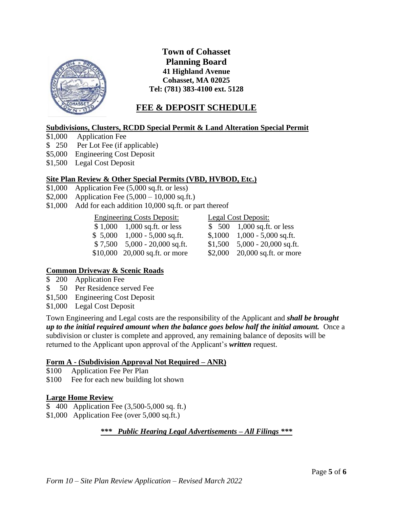

# **FEE & DEPOSIT SCHEDULE**

### **Subdivisions, Clusters, RCDD Special Permit & Land Alteration Special Permit**

- \$1,000 Application Fee
- \$ 250 Per Lot Fee (if applicable)
- \$5,000 Engineering Cost Deposit
- \$1,500 Legal Cost Deposit

### **Site Plan Review & Other Special Permits (VBD, HVBOD, Etc.)**

- \$1,000 Application Fee (5,000 sq.ft. or less)
- \$2,000 Application Fee  $(5,000 10,000 \text{ sq.fit.})$
- \$1,000 Add for each addition 10,000 sq.ft. or part thereof

#### Engineering Costs Deposit: Legal Cost Deposit:

\$1,000 1,000 sq.ft. or less \$ 500 1,000 sq.ft. or less  $$ 5,000$  1,000 - 5,000 sq.ft.  $$ 5,1000$  1,000 - 5,000 sq.ft. \$ 7,500 5,000 - 20,000 sq.ft. \$1,500 5,000 - 20,000 sq.ft.

\$10,000 20,000 sq.ft. or more \$2,000 20,000 sq.ft. or more

### **Common Driveway & Scenic Roads**

- \$ 200 Application Fee
- \$ 50 Per Residence served Fee
- \$1,500 Engineering Cost Deposit
- \$1,000 Legal Cost Deposit

Town Engineering and Legal costs are the responsibility of the Applicant and *shall be brought up to the initial required amount when the balance goes below half the initial amount.* Once a subdivision or cluster is complete and approved, any remaining balance of deposits will be returned to the Applicant upon approval of the Applicant's *written* request.

### **Form A - (Subdivision Approval Not Required – ANR)**

- \$100 Application Fee Per Plan
- \$100 Fee for each new building lot shown

### **Large Home Review**

- \$ 400 Application Fee (3,500-5,000 sq. ft.)
- \$1,000 Application Fee (over 5,000 sq.ft.)

*\*\*\* Public Hearing Legal Advertisements – All Filings \*\*\**